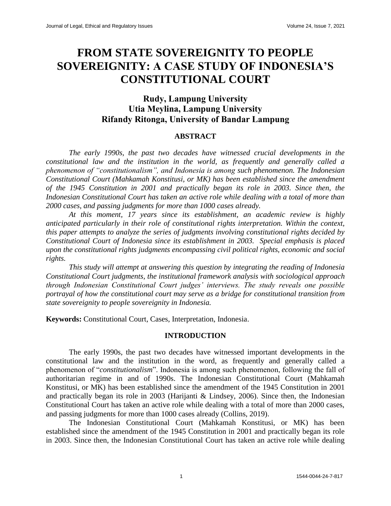# **FROM STATE SOVEREIGNITY TO PEOPLE SOVEREIGNITY: A CASE STUDY OF INDONESIA'S CONSTITUTIONAL COURT**

# **Rudy, Lampung University Utia Meylina, Lampung University Rifandy Ritonga, University of Bandar Lampung**

#### **ABSTRACT**

*The early 1990s, the past two decades have witnessed crucial developments in the constitutional law and the institution in the world, as frequently and generally called a phenomenon of "constitutionalism", and Indonesia is among such phenomenon. The Indonesian Constitutional Court (Mahkamah Konstitusi, or MK) has been established since the amendment of the 1945 Constitution in 2001 and practically began its role in 2003. Since then, the Indonesian Constitutional Court has taken an active role while dealing with a total of more than 2000 cases, and passing judgments for more than 1000 cases already.*

*At this moment, 17 years since its establishment, an academic review is highly anticipated particularly in their role of constitutional rights interpretation. Within the context, this paper attempts to analyze the series of judgments involving constitutional rights decided by Constitutional Court of Indonesia since its establishment in 2003. Special emphasis is placed upon the constitutional rights judgments encompassing civil political rights, economic and social rights.*

*This study will attempt at answering this question by integrating the reading of Indonesia Constitutional Court judgments, the institutional framework analysis with sociological approach through Indonesian Constitutional Court judges' interviews. The study reveals one possible portrayal of how the constitutional court may serve as a bridge for constitutional transition from state sovereignity to people sovereignity in Indonesia.*

**Keywords:** Constitutional Court, Cases, Interpretation, Indonesia.

#### **INTRODUCTION**

The early 1990s, the past two decades have witnessed important developments in the constitutional law and the institution in the word, as frequently and generally called a phenomenon of "*constitutionalism*". Indonesia is among such phenomenon, following the fall of authoritarian regime in and of 1990s. The Indonesian Constitutional Court (Mahkamah Konstitusi, or MK) has been established since the amendment of the 1945 Constitution in 2001 and practically began its role in 2003 (Harijanti & Lindsey, 2006). Since then, the Indonesian Constitutional Court has taken an active role while dealing with a total of more than 2000 cases, and passing judgments for more than 1000 cases already (Collins, 2019).

The Indonesian Constitutional Court (Mahkamah Konstitusi, or MK) has been established since the amendment of the 1945 Constitution in 2001 and practically began its role in 2003. Since then, the Indonesian Constitutional Court has taken an active role while dealing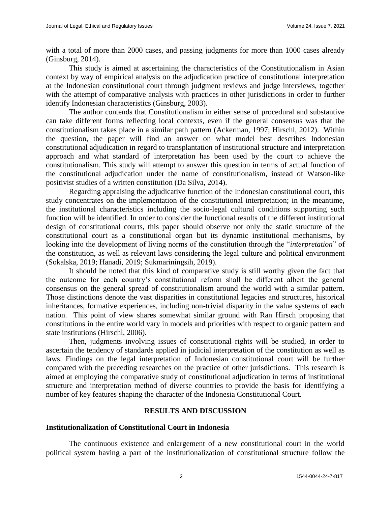with a total of more than 2000 cases, and passing judgments for more than 1000 cases already (Ginsburg, 2014).

This study is aimed at ascertaining the characteristics of the Constitutionalism in Asian context by way of empirical analysis on the adjudication practice of constitutional interpretation at the Indonesian constitutional court through judgment reviews and judge interviews, together with the attempt of comparative analysis with practices in other jurisdictions in order to further identify Indonesian characteristics (Ginsburg, 2003).

The author contends that Constitutionalism in either sense of procedural and substantive can take different forms reflecting local contexts, even if the general consensus was that the constitutionalism takes place in a similar path pattern (Ackerman, 1997; Hirschl, 2012). Within the question, the paper will find an answer on what model best describes Indonesian constitutional adjudication in regard to transplantation of institutional structure and interpretation approach and what standard of interpretation has been used by the court to achieve the constitutionalism. This study will attempt to answer this question in terms of actual function of the constitutional adjudication under the name of constitutionalism, instead of Watson-like positivist studies of a written constitution (Da Silva, 2014).

Regarding appraising the adjudicative function of the Indonesian constitutional court, this study concentrates on the implementation of the constitutional interpretation; in the meantime, the institutional characteristics including the socio-legal cultural conditions supporting such function will be identified. In order to consider the functional results of the different institutional design of constitutional courts, this paper should observe not only the static structure of the constitutional court as a constitutional organ but its dynamic institutional mechanisms, by looking into the development of living norms of the constitution through the "*interpretation*" of the constitution, as well as relevant laws considering the legal culture and political environment (Sokalska, 2019; Hanadi, 2019; Sukmariningsih, 2019).

It should be noted that this kind of comparative study is still worthy given the fact that the outcome for each country's constitutional reform shall be different albeit the general consensus on the general spread of constitutionalism around the world with a similar pattern. Those distinctions denote the vast disparities in constitutional legacies and structures, historical inheritances, formative experiences, including non-trivial disparity in the value systems of each nation. This point of view shares somewhat similar ground with Ran Hirsch proposing that constitutions in the entire world vary in models and priorities with respect to organic pattern and state institutions (Hirschl, 2006).

Then, judgments involving issues of constitutional rights will be studied, in order to ascertain the tendency of standards applied in judicial interpretation of the constitution as well as laws. Findings on the legal interpretation of Indonesian constitutional court will be further compared with the preceding researches on the practice of other jurisdictions. This research is aimed at employing the comparative study of constitutional adjudication in terms of institutional structure and interpretation method of diverse countries to provide the basis for identifying a number of key features shaping the character of the Indonesia Constitutional Court.

# **RESULTS AND DISCUSSION**

# **Institutionalization of Constitutional Court in Indonesia**

The continuous existence and enlargement of a new constitutional court in the world political system having a part of the institutionalization of constitutional structure follow the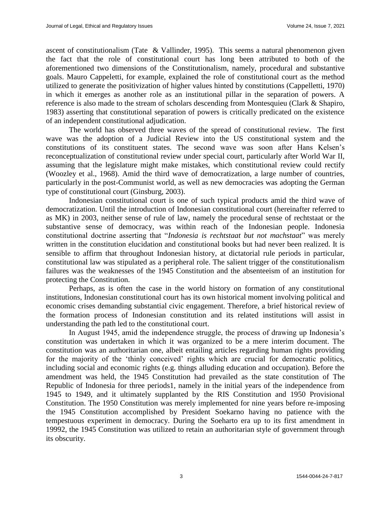ascent of constitutionalism (Tate & Vallinder, 1995). This seems a natural phenomenon given the fact that the role of constitutional court has long been attributed to both of the aforementioned two dimensions of the Constitutionalism, namely, procedural and substantive goals. Mauro Cappeletti, for example, explained the role of constitutional court as the method utilized to generate the positivization of higher values hinted by constitutions (Cappelletti, 1970) in which it emerges as another role as an institutional pillar in the separation of powers. A reference is also made to the stream of scholars descending from Montesquieu (Clark & Shapiro, 1983) asserting that constitutional separation of powers is critically predicated on the existence of an independent constitutional adjudication.

The world has observed three waves of the spread of constitutional review. The first wave was the adoption of a Judicial Review into the US constitutional system and the constitutions of its constituent states. The second wave was soon after Hans Kelsen's reconceptualization of constitutional review under special court, particularly after World War II, assuming that the legislature might make mistakes, which constitutional review could rectify (Woozley et al., 1968). Amid the third wave of democratization, a large number of countries, particularly in the post-Communist world, as well as new democracies was adopting the German type of constitutional court (Ginsburg, 2003).

Indonesian constitutional court is one of such typical products amid the third wave of democratization. Until the introduction of Indonesian constitutional court (hereinafter referred to as MK) in 2003, neither sense of rule of law, namely the procedural sense of rechtstaat or the substantive sense of democracy, was within reach of the Indonesian people. Indonesia constitutional doctrine asserting that "*Indonesia is rechtstaat but not machstaat*" was merely written in the constitution elucidation and constitutional books but had never been realized. It is sensible to affirm that throughout Indonesian history, at dictatorial rule periods in particular, constitutional law was stipulated as a peripheral role. The salient trigger of the constitutionalism failures was the weaknesses of the 1945 Constitution and the absenteeism of an institution for protecting the Constitution.

Perhaps, as is often the case in the world history on formation of any constitutional institutions, Indonesian constitutional court has its own historical moment involving political and economic crises demanding substantial civic engagement. Therefore, a brief historical review of the formation process of Indonesian constitution and its related institutions will assist in understanding the path led to the constitutional court.

In August 1945, amid the independence struggle, the process of drawing up Indonesia's constitution was undertaken in which it was organized to be a mere interim document. The constitution was an authoritarian one, albeit entailing articles regarding human rights providing for the majority of the 'thinly conceived' rights which are crucial for democratic politics, including social and economic rights (e.g. things alluding education and occupation). Before the amendment was held, the 1945 Constitution had prevailed as the state constitution of The Republic of Indonesia for three periods1, namely in the initial years of the independence from 1945 to 1949, and it ultimately supplanted by the RIS Constitution and 1950 Provisional Constitution. The 1950 Constitution was merely implemented for nine years before re-imposing the 1945 Constitution accomplished by President Soekarno having no patience with the tempestuous experiment in democracy. During the Soeharto era up to its first amendment in 19992, the 1945 Constitution was utilized to retain an authoritarian style of government through its obscurity.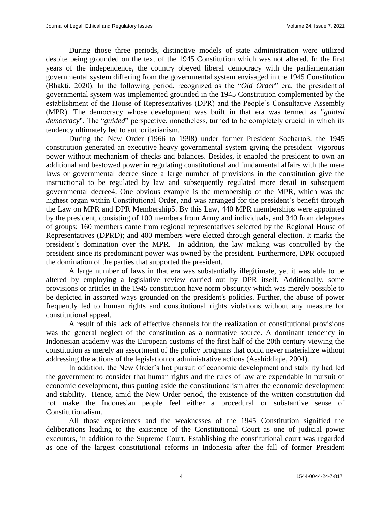During those three periods, distinctive models of state administration were utilized despite being grounded on the text of the 1945 Constitution which was not altered. In the first years of the independence, the country obeyed liberal democracy with the parliamentarian governmental system differing from the governmental system envisaged in the 1945 Constitution (Bhakti, 2020). In the following period, recognized as the "*Old Order*" era, the presidential governmental system was implemented grounded in the 1945 Constitution complemented by the establishment of the House of Representatives (DPR) and the People's Consultative Assembly (MPR). The democracy whose development was built in that era was termed as "*guided democracy*". The "*guided*" perspective, nonetheless, turned to be completely crucial in which its tendency ultimately led to authoritarianism.

During the New Order (1966 to 1998) under former President Soeharto3, the 1945 constitution generated an executive heavy governmental system giving the president vigorous power without mechanism of checks and balances. Besides, it enabled the president to own an additional and bestowed power in regulating constitutional and fundamental affairs with the mere laws or governmental decree since a large number of provisions in the constitution give the instructional to be regulated by law and subsequently regulated more detail in subsequent governmental decree4. One obvious example is the membership of the MPR, which was the highest organ within Constitutional Order, and was arranged for the president's benefit through the Law on MPR and DPR Membership5. By this Law, 440 MPR memberships were appointed by the president, consisting of 100 members from Army and individuals, and 340 from delegates of groups; 160 members came from regional representatives selected by the Regional House of Representatives (DPRD); and 400 members were elected through general election. It marks the president's domination over the MPR. In addition, the law making was controlled by the president since its predominant power was owned by the president. Furthermore, DPR occupied the domination of the parties that supported the president.

A large number of laws in that era was substantially illegitimate, yet it was able to be altered by employing a legislative review carried out by DPR itself. Additionally, some provisions or articles in the 1945 constitution have norm obscurity which was merely possible to be depicted in assorted ways grounded on the president's policies. Further, the abuse of power frequently led to human rights and constitutional rights violations without any measure for constitutional appeal.

A result of this lack of effective channels for the realization of constitutional provisions was the general neglect of the constitution as a normative source. A dominant tendency in Indonesian academy was the European customs of the first half of the 20th century viewing the constitution as merely an assortment of the policy programs that could never materialize without addressing the actions of the legislation or administrative actions (Asshiddiqie, 2004).

In addition, the New Order's hot pursuit of economic development and stability had led the government to consider that human rights and the rules of law are expendable in pursuit of economic development, thus putting aside the constitutionalism after the economic development and stability. Hence, amid the New Order period, the existence of the written constitution did not make the Indonesian people feel either a procedural or substantive sense of Constitutionalism.

All those experiences and the weaknesses of the 1945 Constitution signified the deliberations leading to the existence of the Constitutional Court as one of judicial power executors, in addition to the Supreme Court. Establishing the constitutional court was regarded as one of the largest constitutional reforms in Indonesia after the fall of former President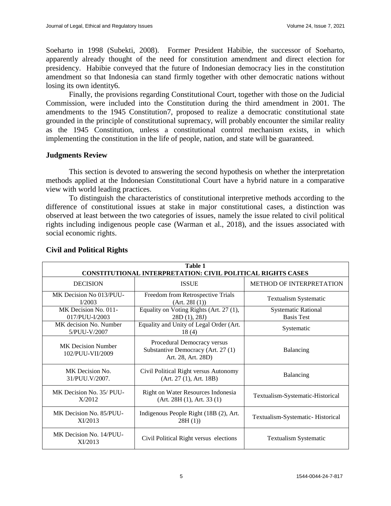Soeharto in 1998 (Subekti, 2008). Former President Habibie, the successor of Soeharto, apparently already thought of the need for constitution amendment and direct election for presidency. Habibie conveyed that the future of Indonesian democracy lies in the constitution amendment so that Indonesia can stand firmly together with other democratic nations without losing its own identity6.

Finally, the provisions regarding Constitutional Court, together with those on the Judicial Commission, were included into the Constitution during the third amendment in 2001. The amendments to the 1945 Constitution7, proposed to realize a democratic constitutional state grounded in the principle of constitutional supremacy, will probably encounter the similar reality as the 1945 Constitution, unless a constitutional control mechanism exists, in which implementing the constitution in the life of people, nation, and state will be guaranteed.

#### **Judgments Review**

This section is devoted to answering the second hypothesis on whether the interpretation methods applied at the Indonesian Constitutional Court have a hybrid nature in a comparative view with world leading practices.

To distinguish the characteristics of constitutional interpretive methods according to the difference of constitutional issues at stake in major constitutional cases, a distinction was observed at least between the two categories of issues, namely the issue related to civil political rights including indigenous people case (Warman et al., 2018), and the issues associated with social economic rights.

| <b>Table 1</b><br><b>CONSTITUTIONAL INTERPRETATION: CIVIL POLITICAL RIGHTS CASES</b> |                                                                                         |                                                 |  |  |  |
|--------------------------------------------------------------------------------------|-----------------------------------------------------------------------------------------|-------------------------------------------------|--|--|--|
| <b>DECISION</b>                                                                      | <b>ISSUE</b>                                                                            | <b>METHOD OF INTERPRETATION</b>                 |  |  |  |
| MK Decision No 013/PUU-<br>I/2003                                                    | Freedom from Retrospective Trials<br><b>Textualism Systematic</b><br>(Art. 28I(1))      |                                                 |  |  |  |
| MK Decision No. 011-<br>017/PUU-I/2003                                               | Equality on Voting Rights (Art. 27 (1),<br>28D(1), 28J                                  | <b>Systematic Rational</b><br><b>Basis Test</b> |  |  |  |
| MK decision No. Number<br>5/PUU-V/2007                                               | Equality and Unity of Legal Order (Art.<br>18(4)                                        | Systematic                                      |  |  |  |
| <b>MK</b> Decision Number<br>102/PUU-VII/2009                                        | Procedural Democracy versus<br>Substantive Democracy (Art. 27 (1)<br>Art. 28, Art. 28D) | Balancing                                       |  |  |  |
| MK Decision No.<br>31/PUU.V/2007.                                                    | Civil Political Right versus Autonomy<br>(Art. 27 (1), Art. 18B)                        | Balancing                                       |  |  |  |
| MK Decision No. 35/ PUU-<br>X/2012                                                   | Right on Water Resources Indonesia<br>(Art. 28H(1), Art. 33(1))                         | Textualism-Systematic-Historical                |  |  |  |
| MK Decision No. 85/PUU-<br>XI/2013                                                   | Indigenous People Right (18B (2), Art.<br>28H(1)                                        | Textualism-Systematic-Historical                |  |  |  |
| MK Decision No. 14/PUU-<br>XI/2013                                                   | Civil Political Right versus elections                                                  | <b>Textualism Systematic</b>                    |  |  |  |

# **Civil and Political Rights**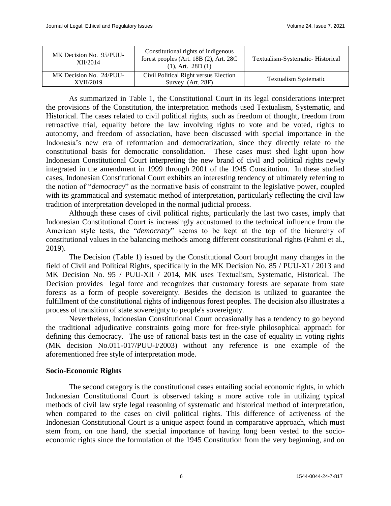| MK Decision No. 95/PUU-<br>XII/2014  | Constitutional rights of indigenous<br>forest peoples (Art. 18B (2), Art. 28C<br>$(1)$ , Art. 28D $(1)$ | Textualism-Systematic-Historical |
|--------------------------------------|---------------------------------------------------------------------------------------------------------|----------------------------------|
| MK Decision No. 24/PUU-<br>XVII/2019 | Civil Political Right versus Election<br>Survey (Art. 28F)                                              | <b>Textualism Systematic</b>     |

As summarized in Table 1, the Constitutional Court in its legal considerations interpret the provisions of the Constitution, the interpretation methods used Textualism, Systematic, and Historical. The cases related to civil political rights, such as freedom of thought, freedom from retroactive trial, equality before the law involving rights to vote and be voted, rights to autonomy, and freedom of association, have been discussed with special importance in the Indonesia's new era of reformation and democratization, since they directly relate to the constitutional basis for democratic consolidation. These cases must shed light upon how Indonesian Constitutional Court interpreting the new brand of civil and political rights newly integrated in the amendment in 1999 through 2001 of the 1945 Constitution. In these studied cases, Indonesian Constitutional Court exhibits an interesting tendency of ultimately referring to the notion of "*democracy*" as the normative basis of constraint to the legislative power, coupled with its grammatical and systematic method of interpretation, particularly reflecting the civil law tradition of interpretation developed in the normal judicial process.

Although these cases of civil political rights, particularly the last two cases, imply that Indonesian Constitutional Court is increasingly accustomed to the technical influence from the American style tests, the "*democracy*" seems to be kept at the top of the hierarchy of constitutional values in the balancing methods among different constitutional rights (Fahmi et al., 2019).

The Decision (Table 1) issued by the Constitutional Court brought many changes in the field of Civil and Political Rights, specifically in the MK Decision No. 85 / PUU-XI / 2013 and MK Decision No. 95 / PUU-XII / 2014, MK uses Textualism, Systematic, Historical. The Decision provides legal force and recognizes that customary forests are separate from state forests as a form of people sovereignty. Besides the decision is utilized to guarantee the fulfillment of the constitutional rights of indigenous forest peoples. The decision also illustrates a process of transition of state sovereignty to people's sovereignty.

Nevertheless, Indonesian Constitutional Court occasionally has a tendency to go beyond the traditional adjudicative constraints going more for free-style philosophical approach for defining this democracy. The use of rational basis test in the case of equality in voting rights (MK decision No.011-017/PUU-I/2003) without any reference is one example of the aforementioned free style of interpretation mode.

# **Socio-Economic Rights**

The second category is the constitutional cases entailing social economic rights, in which Indonesian Constitutional Court is observed taking a more active role in utilizing typical methods of civil law style legal reasoning of systematic and historical method of interpretation, when compared to the cases on civil political rights. This difference of activeness of the Indonesian Constitutional Court is a unique aspect found in comparative approach, which must stem from, on one hand, the special importance of having long been vested to the socioeconomic rights since the formulation of the 1945 Constitution from the very beginning, and on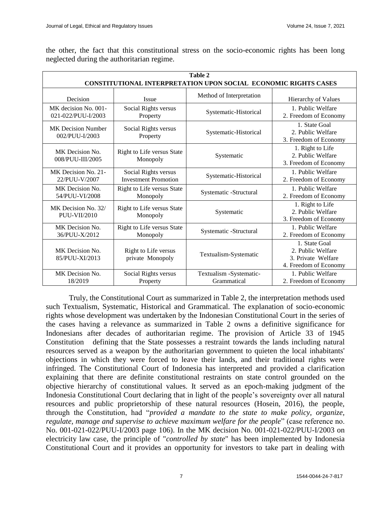| Table 2<br><b>CONSTITUTIONAL INTERPRETATION UPON SOCIAL ECONOMIC RIGHTS CASES</b> |                                                     |                                        |                                                                                   |  |  |
|-----------------------------------------------------------------------------------|-----------------------------------------------------|----------------------------------------|-----------------------------------------------------------------------------------|--|--|
| Decision                                                                          | <b>Issue</b>                                        | Method of Interpretation               | Hierarchy of Values                                                               |  |  |
| MK decision No. 001-<br>021-022/PUU-I/2003                                        | Social Rights versus<br>Property                    | Systematic-Historical                  | 1. Public Welfare<br>2. Freedom of Economy                                        |  |  |
| <b>MK</b> Decision Number<br>002/PUU-I/2003                                       | Social Rights versus<br>Property                    | Systematic-Historical                  | 1. State Goal<br>2. Public Welfare<br>3. Freedom of Economy                       |  |  |
| MK Decision No.<br>008/PUU-III/2005                                               | Right to Life versus State<br>Monopoly              | Systematic                             | 1. Right to Life<br>2. Public Welfare<br>3. Freedom of Economy                    |  |  |
| MK Decision No. 21-<br>22/PUU-V/2007                                              | Social Rights versus<br><b>Investment Promotion</b> | Systematic-Historical                  | 1. Public Welfare<br>2. Freedom of Economy                                        |  |  |
| MK Decision No.<br>54/PUU-VI/2008                                                 | Right to Life versus State<br>Monopoly              | Systematic -Structural                 | 1. Public Welfare<br>2. Freedom of Economy                                        |  |  |
| MK Decision No. 32/<br><b>PUU-VII/2010</b>                                        | Right to Life versus State<br>Monopoly              | Systematic                             | 1. Right to Life<br>2. Public Welfare<br>3. Freedom of Economy                    |  |  |
| MK Decision No.<br>36/PUU-X/2012                                                  | Right to Life versus State<br>Monopoly              | Systematic -Structural                 | 1. Public Welfare<br>2. Freedom of Economy                                        |  |  |
| MK Decision No.<br>85/PUU-XI/2013                                                 | Right to Life versus<br>private Monopoly            | Textualism-Systematic                  | 1. State Goal<br>2. Public Welfare<br>3. Private Welfare<br>4. Freedom of Economy |  |  |
| MK Decision No.<br>18/2019                                                        | Social Rights versus<br>Property                    | Textualism -Systematic-<br>Grammatical | 1. Public Welfare<br>2. Freedom of Economy                                        |  |  |

the other, the fact that this constitutional stress on the socio-economic rights has been long neglected during the authoritarian regime.

Truly, the Constitutional Court as summarized in Table 2, the interpretation methods used such Textualism, Systematic, Historical and Grammatical. The explanation of socio-economic rights whose development was undertaken by the Indonesian Constitutional Court in the series of the cases having a relevance as summarized in Table 2 owns a definitive significance for Indonesians after decades of authoritarian regime. The provision of Article 33 of 1945 Constitution defining that the State possesses a restraint towards the lands including natural resources served as a weapon by the authoritarian government to quieten the local inhabitants' objections in which they were forced to leave their lands, and their traditional rights were infringed. The Constitutional Court of Indonesia has interpreted and provided a clarification explaining that there are definite constitutional restraints on state control grounded on the objective hierarchy of constitutional values. It served as an epoch-making judgment of the Indonesia Constitutional Court declaring that in light of the people's sovereignty over all natural resources and public proprietorship of these natural resources (Hosein, 2016), the people, through the Constitution, had "*provided a mandate to the state to make policy, organize, regulate, manage and supervise to achieve maximum welfare for the people*" (case reference no. No. 001-021-022/PUU-I/2003 page 106). In the MK decision No. 001-021-022/PUU-I/2003 on electricity law case, the principle of "*controlled by state*" has been implemented by Indonesia Constitutional Court and it provides an opportunity for investors to take part in dealing with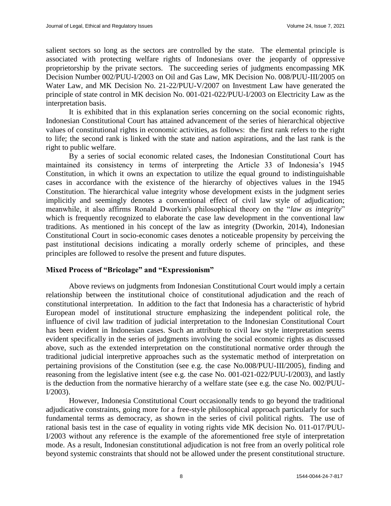salient sectors so long as the sectors are controlled by the state. The elemental principle is associated with protecting welfare rights of Indonesians over the jeopardy of oppressive proprietorship by the private sectors. The succeeding series of judgments encompassing MK Decision Number 002/PUU-I/2003 on Oil and Gas Law, MK Decision No. 008/PUU-III/2005 on Water Law, and MK Decision No. 21-22/PUU-V/2007 on Investment Law have generated the principle of state control in MK decision No. 001-021-022/PUU-I/2003 on Electricity Law as the interpretation basis.

It is exhibited that in this explanation series concerning on the social economic rights, Indonesian Constitutional Court has attained advancement of the series of hierarchical objective values of constitutional rights in economic activities, as follows: the first rank refers to the right to life; the second rank is linked with the state and nation aspirations, and the last rank is the right to public welfare.

By a series of social economic related cases, the Indonesian Constitutional Court has maintained its consistency in terms of interpreting the Article 33 of Indonesia's 1945 Constitution, in which it owns an expectation to utilize the equal ground to indistinguishable cases in accordance with the existence of the hierarchy of objectives values in the 1945 Constitution. The hierarchical value integrity whose development exists in the judgment series implicitly and seemingly denotes a conventional effect of civil law style of adjudication; meanwhile, it also affirms Ronald Dworkin's philosophical theory on the "*law as integrity*" which is frequently recognized to elaborate the case law development in the conventional law traditions. As mentioned in his concept of the law as integrity (Dworkin, 2014), Indonesian Constitutional Court in socio-economic cases denotes a noticeable propensity by perceiving the past institutional decisions indicating a morally orderly scheme of principles, and these principles are followed to resolve the present and future disputes.

# **Mixed Process of "Bricolage" and "Expressionism"**

Above reviews on judgments from Indonesian Constitutional Court would imply a certain relationship between the institutional choice of constitutional adjudication and the reach of constitutional interpretation. In addition to the fact that Indonesia has a characteristic of hybrid European model of institutional structure emphasizing the independent political role, the influence of civil law tradition of judicial interpretation to the Indonesian Constitutional Court has been evident in Indonesian cases. Such an attribute to civil law style interpretation seems evident specifically in the series of judgments involving the social economic rights as discussed above, such as the extended interpretation on the constitutional normative order through the traditional judicial interpretive approaches such as the systematic method of interpretation on pertaining provisions of the Constitution (see e.g. the case No.008/PUU-III/2005), finding and reasoning from the legislative intent (see e.g. the case No. 001-021-022/PUU-I/2003), and lastly is the deduction from the normative hierarchy of a welfare state (see e.g. the case No. 002/PUU-I/2003).

However, Indonesia Constitutional Court occasionally tends to go beyond the traditional adjudicative constraints, going more for a free-style philosophical approach particularly for such fundamental terms as democracy, as shown in the series of civil political rights. The use of rational basis test in the case of equality in voting rights vide MK decision No. 011-017/PUU-I/2003 without any reference is the example of the aforementioned free style of interpretation mode. As a result, Indonesian constitutional adjudication is not free from an overly political role beyond systemic constraints that should not be allowed under the present constitutional structure.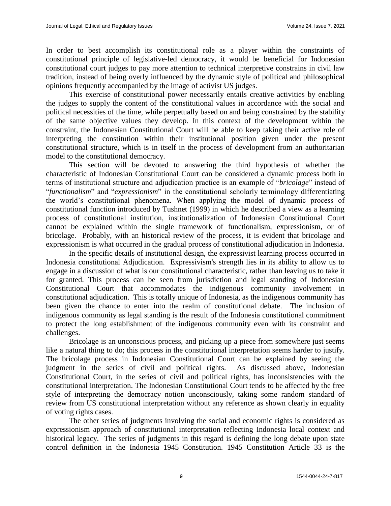In order to best accomplish its constitutional role as a player within the constraints of constitutional principle of legislative-led democracy, it would be beneficial for Indonesian constitutional court judges to pay more attention to technical interpretive constrains in civil law tradition, instead of being overly influenced by the dynamic style of political and philosophical opinions frequently accompanied by the image of activist US judges.

This exercise of constitutional power necessarily entails creative activities by enabling the judges to supply the content of the constitutional values in accordance with the social and political necessities of the time, while perpetually based on and being constrained by the stability of the same objective values they develop. In this context of the development within the constraint, the Indonesian Constitutional Court will be able to keep taking their active role of interpreting the constitution within their institutional position given under the present constitutional structure, which is in itself in the process of development from an authoritarian model to the constitutional democracy.

This section will be devoted to answering the third hypothesis of whether the characteristic of Indonesian Constitutional Court can be considered a dynamic process both in terms of institutional structure and adjudication practice is an example of "*bricolage*" instead of "*functionalism*" and "*expressionism*" in the constitutional scholarly terminology differentiating the world's constitutional phenomena. When applying the model of dynamic process of constitutional function introduced by Tushnet (1999) in which he described a view as a learning process of constitutional institution, institutionalization of Indonesian Constitutional Court cannot be explained within the single framework of functionalism, expressionism, or of bricolage. Probably, with an historical review of the process, it is evident that bricolage and expressionism is what occurred in the gradual process of constitutional adjudication in Indonesia.

In the specific details of institutional design, the expressivist learning process occurred in Indonesia constitutional Adjudication. Expressivism's strength lies in its ability to allow us to engage in a discussion of what is our constitutional characteristic, rather than leaving us to take it for granted. This process can be seen from jurisdiction and legal standing of Indonesian Constitutional Court that accommodates the indigenous community involvement in constitutional adjudication. This is totally unique of Indonesia, as the indigenous community has been given the chance to enter into the realm of constitutional debate. The inclusion of indigenous community as legal standing is the result of the Indonesia constitutional commitment to protect the long establishment of the indigenous community even with its constraint and challenges.

Bricolage is an unconscious process, and picking up a piece from somewhere just seems like a natural thing to do; this process in the constitutional interpretation seems harder to justify. The bricolage process in Indonesian Constitutional Court can be explained by seeing the judgment in the series of civil and political rights. As discussed above, Indonesian Constitutional Court, in the series of civil and political rights, has inconsistencies with the constitutional interpretation. The Indonesian Constitutional Court tends to be affected by the free style of interpreting the democracy notion unconsciously, taking some random standard of review from US constitutional interpretation without any reference as shown clearly in equality of voting rights cases.

The other series of judgments involving the social and economic rights is considered as expressionism approach of constitutional interpretation reflecting Indonesia local context and historical legacy. The series of judgments in this regard is defining the long debate upon state control definition in the Indonesia 1945 Constitution. 1945 Constitution Article 33 is the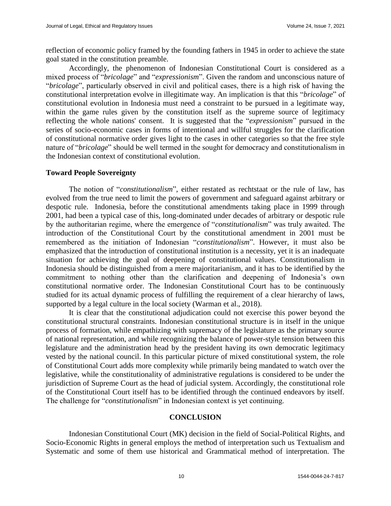reflection of economic policy framed by the founding fathers in 1945 in order to achieve the state goal stated in the constitution preamble.

Accordingly, the phenomenon of Indonesian Constitutional Court is considered as a mixed process of "*bricolage*" and "*expressionism*". Given the random and unconscious nature of "*bricolage*", particularly observed in civil and political cases, there is a high risk of having the constitutional interpretation evolve in illegitimate way. An implication is that this "*bricolage*" of constitutional evolution in Indonesia must need a constraint to be pursued in a legitimate way, within the game rules given by the constitution itself as the supreme source of legitimacy reflecting the whole nations' consent. It is suggested that the "*expressionism*" pursued in the series of socio-economic cases in forms of intentional and willful struggles for the clarification of constitutional normative order gives light to the cases in other categories so that the free style nature of "*bricolage*" should be well termed in the sought for democracy and constitutionalism in the Indonesian context of constitutional evolution.

# **Toward People Sovereignty**

The notion of "*constitutionalism*", either restated as rechtstaat or the rule of law, has evolved from the true need to limit the powers of government and safeguard against arbitrary or despotic rule. Indonesia, before the constitutional amendments taking place in 1999 through 2001, had been a typical case of this, long-dominated under decades of arbitrary or despotic rule by the authoritarian regime, where the emergence of "*constitutionalism*" was truly awaited. The introduction of the Constitutional Court by the constitutional amendment in 2001 must be remembered as the initiation of Indonesian "*constitutionalism*". However, it must also be emphasized that the introduction of constitutional institution is a necessity, yet it is an inadequate situation for achieving the goal of deepening of constitutional values. Constitutionalism in Indonesia should be distinguished from a mere majoritarianism, and it has to be identified by the commitment to nothing other than the clarification and deepening of Indonesia's own constitutional normative order. The Indonesian Constitutional Court has to be continuously studied for its actual dynamic process of fulfilling the requirement of a clear hierarchy of laws, supported by a legal culture in the local society (Warman et al., 2018).

It is clear that the constitutional adjudication could not exercise this power beyond the constitutional structural constraints. Indonesian constitutional structure is in itself in the unique process of formation, while empathizing with supremacy of the legislature as the primary source of national representation, and while recognizing the balance of power-style tension between this legislature and the administration head by the president having its own democratic legitimacy vested by the national council. In this particular picture of mixed constitutional system, the role of Constitutional Court adds more complexity while primarily being mandated to watch over the legislative, while the constitutionality of administrative regulations is considered to be under the jurisdiction of Supreme Court as the head of judicial system. Accordingly, the constitutional role of the Constitutional Court itself has to be identified through the continued endeavors by itself. The challenge for "*constitutionalism*" in Indonesian context is yet continuing.

# **CONCLUSION**

Indonesian Constitutional Court (MK) decision in the field of Social-Political Rights, and Socio-Economic Rights in general employs the method of interpretation such us Textualism and Systematic and some of them use historical and Grammatical method of interpretation. The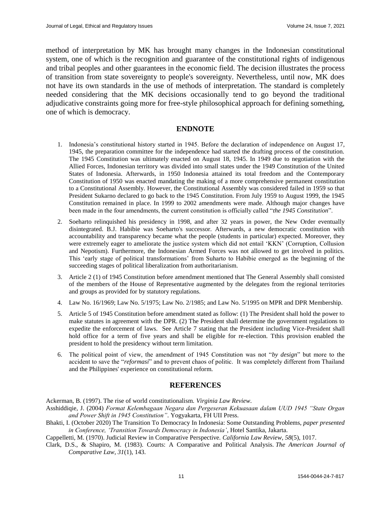method of interpretation by MK has brought many changes in the Indonesian constitutional system, one of which is the recognition and guarantee of the constitutional rights of indigenous and tribal peoples and other guarantees in the economic field. The decision illustrates the process of transition from state sovereignty to people's sovereignty. Nevertheless, until now, MK does not have its own standards in the use of methods of interpretation. The standard is completely needed considering that the MK decisions occasionally tend to go beyond the traditional adjudicative constraints going more for free-style philosophical approach for defining something, one of which is democracy.

#### **ENDNOTE**

- 1. Indonesia's constitutional history started in 1945. Before the declaration of independence on August 17, 1945, the preparation committee for the independence had started the drafting process of the constitution. The 1945 Constitution was ultimately enacted on August 18, 1945. In 1949 due to negotiation with the Allied Forces, Indonesian territory was divided into small states under the 1949 Constitution of the United States of Indonesia. Afterwards, in 1950 Indonesia attained its total freedom and the Contemporary Constitution of 1950 was enacted mandating the making of a more comprehensive permanent constitution to a Constitutional Assembly. However, the Constitutional Assembly was considered failed in 1959 so that President Sukarno declared to go back to the 1945 Constitution. From July 1959 to August 1999, the 1945 Constitution remained in place. In 1999 to 2002 amendments were made. Although major changes have been made in the four amendments, the current constitution is officially called "*the 1945 Constitution*".
- 2. Soeharto relinquished his presidency in 1998, and after 32 years in power, the New Order eventually disintegrated. B.J. Habibie was Soeharto's successor. Afterwards, a new democratic constitution with accountability and transparency became what the people (students in particular) expected. Moreover, they were extremely eager to ameliorate the justice system which did not entail 'KKN' (Corruption, Collusion and Nepotism). Furthermore, the Indonesian Armed Forces was not allowed to get involved in politics. This 'early stage of political transformations' from Suharto to Habibie emerged as the beginning of the succeeding stages of political liberalization from authoritarianism.
- 3. Article 2 (1) of 1945 Constitution before amendment mentioned that The General Assembly shall consisted of the members of the House of Representative augmented by the delegates from the regional territories and groups as provided for by statutory regulations.
- 4. Law No. 16/1969; Law No. 5/1975; Law No. 2/1985; and Law No. 5/1995 on MPR and DPR Membership.
- 5. Article 5 of 1945 Constitution before amendment stated as follow: (1) The President shall hold the power to make statutes in agreement with the DPR. (2) The President shall determine the government regulations to expedite the enforcement of laws. See Article 7 stating that the President including Vice-President shall hold office for a term of five years and shall be eligible for re-election. Tthis provision enabled the president to hold the presidency without term limitation.
- 6. The political point of view, the amendment of 1945 Constitution was not "*by design*" but more to the accident to save the "*reformasi*" and to prevent chaos of politic. It was completely different from Thailand and the Philippines' experience on constitutional reform.

#### **REFERENCES**

Ackerman, B. (1997). The rise of world constitutionalism. *Virginia Law Review*.

- Asshiddiqie, J. (2004) *Format Kelembagaan Negara dan Pergeseran Kekuasaan dalam UUD 1945 "State Organ and Power Shift in 1945 Constitution"*. Yogyakarta, FH UII Press.
- Bhakti, I. (October 2020) The Transition To Democracy In Indonesia: Some Outstanding Problems, *paper presented in Conference, 'Transition Towards Democracy in Indonesia'*, Hotel Santika, Jakarta.

Cappelletti, M. (1970). Judicial Review in Comparative Perspective. *California Law Review*, *58*(5), 1017.

Clark, D.S., & Shapiro, M. (1983). Courts: A Comparative and Political Analysis. *The American Journal of Comparative Law*, *31*(1), 143.